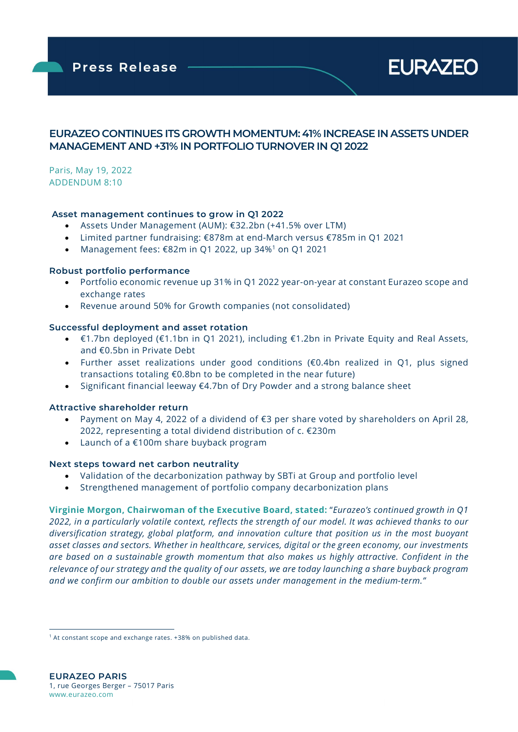**Press Release** 



### EURAZEO CONTINUES ITS GROWTH MOMENTUM: 41% INCREASE IN ASSETS UNDER MANAGEMENT AND +31% IN PORTFOLIO TURNOVER IN Q1 2022

Paris, May 19, 2022 ADDENDUM 8:10

ł

#### Asset management continues to grow in Q1 2022

- Assets Under Management (AUM): €32.2bn (+41.5% over LTM)
- Limited partner fundraising: €878m at end-March versus €785m in Q1 2021
- Management fees: €82m in Q1 2022, up 34%<sup>1</sup> on Q1 2021

#### Robust portfolio performance

- Portfolio economic revenue up 31% in Q1 2022 year-on-year at constant Eurazeo scope and exchange rates
- Revenue around 50% for Growth companies (not consolidated)

#### Successful deployment and asset rotation

- €1.7bn deployed (€1.1bn in Q1 2021), including €1.2bn in Private Equity and Real Assets, and €0.5bn in Private Debt
- Further asset realizations under good conditions (€0.4bn realized in Q1, plus signed transactions totaling €0.8bn to be completed in the near future)
- Significant financial leeway €4.7bn of Dry Powder and a strong balance sheet

#### Attractive shareholder return

- Payment on May 4, 2022 of a dividend of €3 per share voted by shareholders on April 28, 2022, representing a total dividend distribution of c. €230m
- Launch of a €100m share buyback program

#### Next steps toward net carbon neutrality

- Validation of the decarbonization pathway by SBTi at Group and portfolio level
- Strengthened management of portfolio company decarbonization plans

Virginie Morgon, Chairwoman of the Executive Board, stated: "Eurazeo's continued growth in Q1 2022, in a particularly volatile context, reflects the strength of our model. It was achieved thanks to our diversification strategy, global platform, and innovation culture that position us in the most buoyant asset classes and sectors. Whether in healthcare, services, digital or the green economy, our investments are based on a sustainable growth momentum that also makes us highly attractive. Confident in the relevance of our strategy and the quality of our assets, we are today launching a share buyback program and we confirm our ambition to double our assets under management in the medium-term."

<sup>&</sup>lt;sup>1</sup> At constant scope and exchange rates. +38% on published data.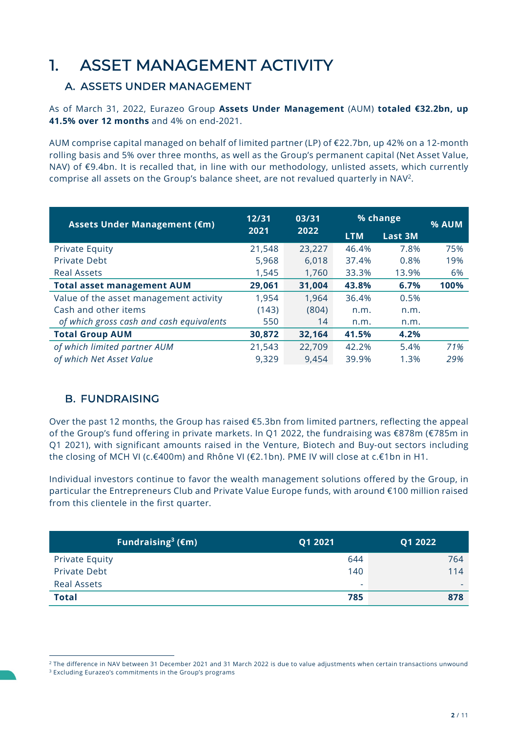# 1. ASSET MANAGEMENT ACTIVITY

## A. ASSETS UNDER MANAGEMENT

As of March 31, 2022, Eurazeo Group Assets Under Management (AUM) totaled €32.2bn, up 41.5% over 12 months and 4% on end-2021.

AUM comprise capital managed on behalf of limited partner (LP) of €22.7bn, up 42% on a 12-month rolling basis and 5% over three months, as well as the Group's permanent capital (Net Asset Value, NAV) of €9.4bn. It is recalled that, in line with our methodology, unlisted assets, which currently comprise all assets on the Group's balance sheet, are not revalued quarterly in NAV<sup>2</sup> .

| Assets Under Management (€m)             | 12/31  | 03/31  | % change   |                | % AUM |  |
|------------------------------------------|--------|--------|------------|----------------|-------|--|
|                                          | 2021   | 2022   | <b>LTM</b> | <b>Last 3M</b> |       |  |
| <b>Private Equity</b>                    | 21,548 | 23,227 | 46.4%      | 7.8%           | 75%   |  |
| Private Debt                             | 5,968  | 6,018  | 37.4%      | 0.8%           | 19%   |  |
| <b>Real Assets</b>                       | 1,545  | 1,760  | 33.3%      | 13.9%          | 6%    |  |
| <b>Total asset management AUM</b>        | 29,061 | 31,004 | 43.8%      | 6.7%           | 100%  |  |
| Value of the asset management activity   | 1,954  | 1,964  | 36.4%      | 0.5%           |       |  |
| Cash and other items                     | (143)  | (804)  | n.m.       | n.m.           |       |  |
| of which gross cash and cash equivalents | 550    | 14     | n.m.       | n.m.           |       |  |
| <b>Total Group AUM</b>                   | 30,872 | 32,164 | 41.5%      | 4.2%           |       |  |
| of which limited partner AUM             | 21,543 | 22,709 | 42.2%      | 5.4%           | 71%   |  |
| of which Net Asset Value                 | 9,329  | 9,454  | 39.9%      | 1.3%           | 29%   |  |

## B. FUNDRAISING

Over the past 12 months, the Group has raised  $\epsilon$ 5.3bn from limited partners, reflecting the appeal of the Group's fund offering in private markets. In Q1 2022, the fundraising was €878m (€785m in Q1 2021), with significant amounts raised in the Venture, Biotech and Buy-out sectors including the closing of MCH VI (c.€400m) and Rhône VI (€2.1bn). PME IV will close at c.€1bn in H1.

Individual investors continue to favor the wealth management solutions offered by the Group, in particular the Entrepreneurs Club and Private Value Europe funds, with around €100 million raised from this clientele in the first quarter.

| Fundraising <sup>3</sup> ( $\epsilon$ m) | Q1 2021                  | Q1 2022                  |
|------------------------------------------|--------------------------|--------------------------|
| <b>Private Equity</b>                    | 644                      | 764                      |
| <b>Private Debt</b>                      | 140                      | 114                      |
| <b>Real Assets</b>                       | $\overline{\phantom{a}}$ | $\overline{\phantom{0}}$ |
| <b>Total</b>                             | 785                      | 878                      |

 $^2$  The difference in NAV between 31 December 2021 and 31 March 2022 is due to value adjustments when certain transactions unwound 3 Excluding Eurazeo's commitments in the Group's programs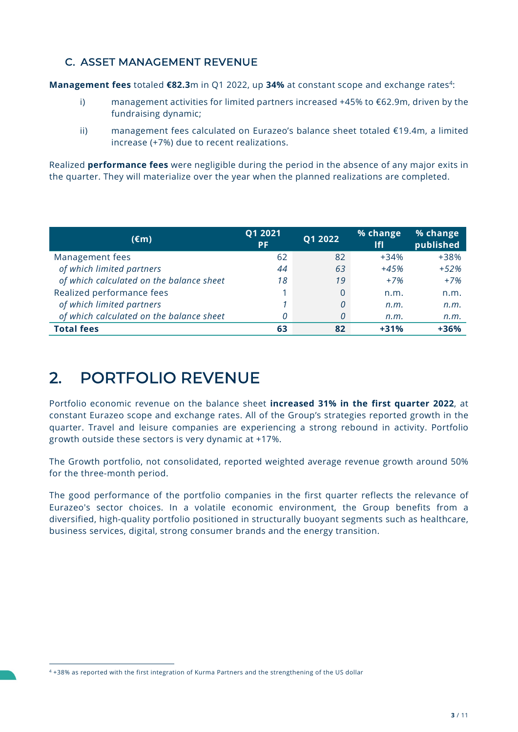## C. ASSET MANAGEMENT REVENUE

**Management fees** totaled €82.3m in Q1 2022, up 34% at constant scope and exchange rates<sup>4</sup>:

- i) management activities for limited partners increased +45% to  $\epsilon$ 62.9m, driven by the fundraising dynamic;
- ii) management fees calculated on Eurazeo's balance sheet totaled €19.4m, a limited increase (+7%) due to recent realizations.

Realized performance fees were negligible during the period in the absence of any major exits in the quarter. They will materialize over the year when the planned realizations are completed.

| $(\epsilon m)$                           | Q1 2021<br><b>PF</b> | Q1 2022 | % change<br><b>IfI</b> | % change<br>published |
|------------------------------------------|----------------------|---------|------------------------|-----------------------|
| Management fees                          | 62                   | 82      | $+34%$                 | +38%                  |
| of which limited partners                | 44                   | 63      | $+45%$                 | $+52%$                |
| of which calculated on the balance sheet | 18                   | 19      | $+7%$                  | $+7%$                 |
| Realized performance fees                |                      | 0       | n.m.                   | n.m.                  |
| of which limited partners                |                      | 0       | n.m.                   | n.m.                  |
| of which calculated on the balance sheet | 0                    | 0       | n.m.                   | n.m.                  |
| <b>Total fees</b>                        | 63                   | 82      | $+31%$                 | $+36%$                |

# 2. PORTFOLIO REVENUE

Portfolio economic revenue on the balance sheet increased 31% in the first quarter 2022, at constant Eurazeo scope and exchange rates. All of the Group's strategies reported growth in the quarter. Travel and leisure companies are experiencing a strong rebound in activity. Portfolio growth outside these sectors is very dynamic at +17%.

The Growth portfolio, not consolidated, reported weighted average revenue growth around 50% for the three-month period.

The good performance of the portfolio companies in the first quarter reflects the relevance of Eurazeo's sector choices. In a volatile economic environment, the Group benefits from a diversified, high-quality portfolio positioned in structurally buoyant segments such as healthcare, business services, digital, strong consumer brands and the energy transition.

<sup>4</sup> +38% as reported with the first integration of Kurma Partners and the strengthening of the US dollar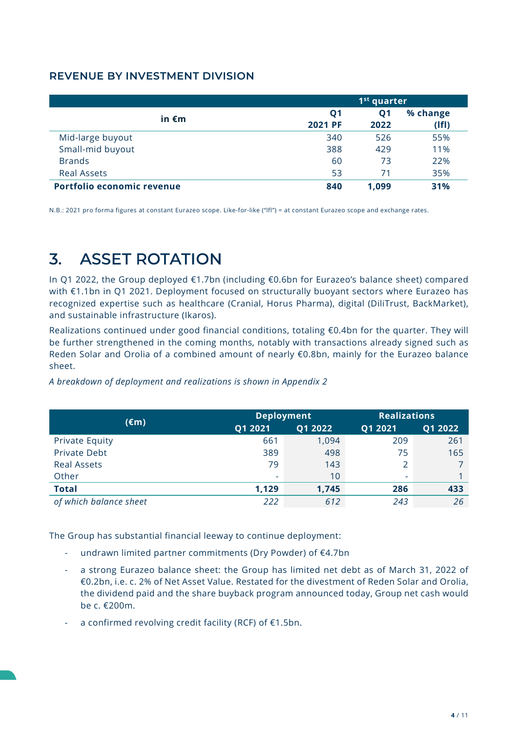## REVENUE BY INVESTMENT DIVISION

|                            | 1 <sup>st</sup> quarter          |                   |                   |  |
|----------------------------|----------------------------------|-------------------|-------------------|--|
| in $\epsilon$ m            | Q <sub>1</sub><br><b>2021 PF</b> | <b>Q1</b><br>2022 | % change<br>(IfI) |  |
| Mid-large buyout           | 340                              | 526               | 55%               |  |
| Small-mid buyout           | 388                              | 429               | 11%               |  |
| <b>Brands</b>              | 60                               | 73                | 22%               |  |
| <b>Real Assets</b>         | 53                               | 71                | 35%               |  |
| Portfolio economic revenue | 840                              | 1,099             | 31%               |  |

N.B.: 2021 pro forma figures at constant Eurazeo scope. Like-for-like ("lfl") = at constant Eurazeo scope and exchange rates.

## 3. ASSET ROTATION

In Q1 2022, the Group deployed €1.7bn (including €0.6bn for Eurazeo's balance sheet) compared with €1.1bn in Q1 2021. Deployment focused on structurally buoyant sectors where Eurazeo has recognized expertise such as healthcare (Cranial, Horus Pharma), digital (DiliTrust, BackMarket), and sustainable infrastructure (Ikaros).

Realizations continued under good financial conditions, totaling €0.4bn for the quarter. They will be further strengthened in the coming months, notably with transactions already signed such as Reden Solar and Orolia of a combined amount of nearly €0.8bn, mainly for the Eurazeo balance sheet.

|                           | <b>Deployment</b>        |         | <b>Realizations</b> |         |  |
|---------------------------|--------------------------|---------|---------------------|---------|--|
| (€m)                      | Q1 2021                  | Q1 2022 | Q1 2021             | Q1 2022 |  |
| Private Equity            | 661                      | 1,094   | 209                 | 261     |  |
| Private Debt              | 389                      | 498     | 75                  | 165     |  |
| <b>Real Assets</b>        | 79                       | 143     | 2                   |         |  |
| Other                     | $\overline{\phantom{a}}$ | 10      | ٠                   |         |  |
| <b>Total</b>              | 1,129                    | 1,745   | 286                 | 433     |  |
| which balance sheet<br>0f | 222                      | 612     | 243                 | 26      |  |

A breakdown of deployment and realizations is shown in Appendix 2

The Group has substantial financial leeway to continue deployment:

- undrawn limited partner commitments (Dry Powder) of €4.7bn
- a strong Eurazeo balance sheet: the Group has limited net debt as of March 31, 2022 of €0.2bn, i.e. c. 2% of Net Asset Value. Restated for the divestment of Reden Solar and Orolia, the dividend paid and the share buyback program announced today, Group net cash would be c. €200m.
- a confirmed revolving credit facility (RCF) of  $E1.5$ bn.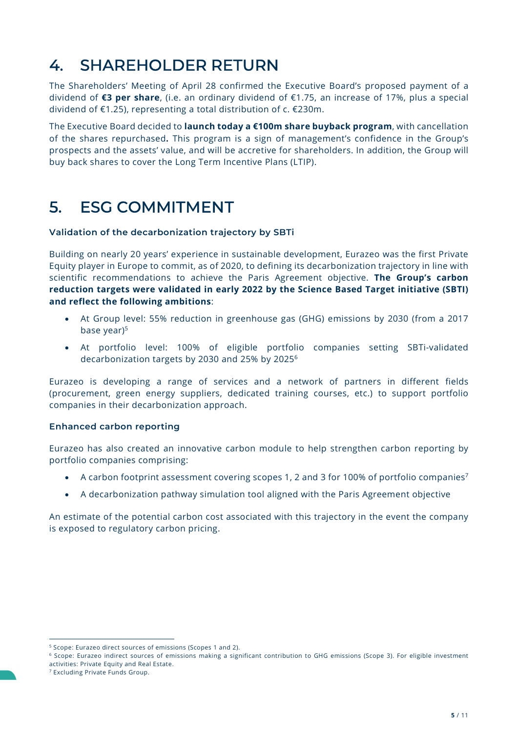# 4. SHAREHOLDER RETURN

The Shareholders' Meeting of April 28 confirmed the Executive Board's proposed payment of a dividend of €3 per share, (i.e. an ordinary dividend of €1.75, an increase of 17%, plus a special dividend of €1.25), representing a total distribution of c. €230m.

The Executive Board decided to launch today a €100m share buyback program, with cancellation of the shares repurchased. This program is a sign of management's confidence in the Group's prospects and the assets' value, and will be accretive for shareholders. In addition, the Group will buy back shares to cover the Long Term Incentive Plans (LTIP).

## 5. ESG COMMITMENT

### Validation of the decarbonization trajectory by SBTi

Building on nearly 20 years' experience in sustainable development, Eurazeo was the first Private Equity player in Europe to commit, as of 2020, to defining its decarbonization trajectory in line with scientific recommendations to achieve the Paris Agreement objective. The Group's carbon reduction targets were validated in early 2022 by the Science Based Target initiative (SBTI) and reflect the following ambitions:

- At Group level: 55% reduction in greenhouse gas (GHG) emissions by 2030 (from a 2017 base year)<sup>5</sup>
- At portfolio level: 100% of eligible portfolio companies setting SBTi-validated decarbonization targets by 2030 and 25% by 2025<sup>6</sup>

Eurazeo is developing a range of services and a network of partners in different fields (procurement, green energy suppliers, dedicated training courses, etc.) to support portfolio companies in their decarbonization approach.

### Enhanced carbon reporting

Eurazeo has also created an innovative carbon module to help strengthen carbon reporting by portfolio companies comprising:

- A carbon footprint assessment covering scopes 1, 2 and 3 for 100% of portfolio companies<sup>7</sup>
- A decarbonization pathway simulation tool aligned with the Paris Agreement objective

An estimate of the potential carbon cost associated with this trajectory in the event the company is exposed to regulatory carbon pricing.

<sup>5</sup> Scope: Eurazeo direct sources of emissions (Scopes 1 and 2).

<sup>6</sup> Scope: Eurazeo indirect sources of emissions making a significant contribution to GHG emissions (Scope 3). For eligible investment activities: Private Equity and Real Estate.

<sup>7</sup> Excluding Private Funds Group.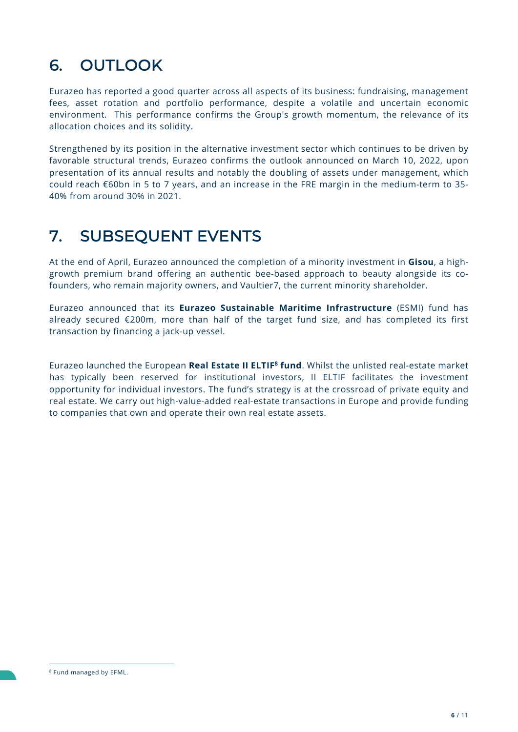# 6. OUTLOOK

Eurazeo has reported a good quarter across all aspects of its business: fundraising, management fees, asset rotation and portfolio performance, despite a volatile and uncertain economic environment. This performance confirms the Group's growth momentum, the relevance of its allocation choices and its solidity.

Strengthened by its position in the alternative investment sector which continues to be driven by favorable structural trends, Eurazeo confirms the outlook announced on March 10, 2022, upon presentation of its annual results and notably the doubling of assets under management, which could reach €60bn in 5 to 7 years, and an increase in the FRE margin in the medium-term to 35- 40% from around 30% in 2021.

## 7. SUBSEQUENT EVENTS

At the end of April, Eurazeo announced the completion of a minority investment in Gisou, a highgrowth premium brand offering an authentic bee-based approach to beauty alongside its cofounders, who remain majority owners, and Vaultier7, the current minority shareholder.

Eurazeo announced that its Eurazeo Sustainable Maritime Infrastructure (ESMI) fund has already secured €200m, more than half of the target fund size, and has completed its first transaction by financing a jack-up vessel.

Eurazeo launched the European Real Estate II ELTIF<sup>8</sup> fund. Whilst the unlisted real-estate market has typically been reserved for institutional investors, II ELTIF facilitates the investment opportunity for individual investors. The fund's strategy is at the crossroad of private equity and real estate. We carry out high-value-added real-estate transactions in Europe and provide funding to companies that own and operate their own real estate assets.

<sup>8</sup> Fund managed by EFML.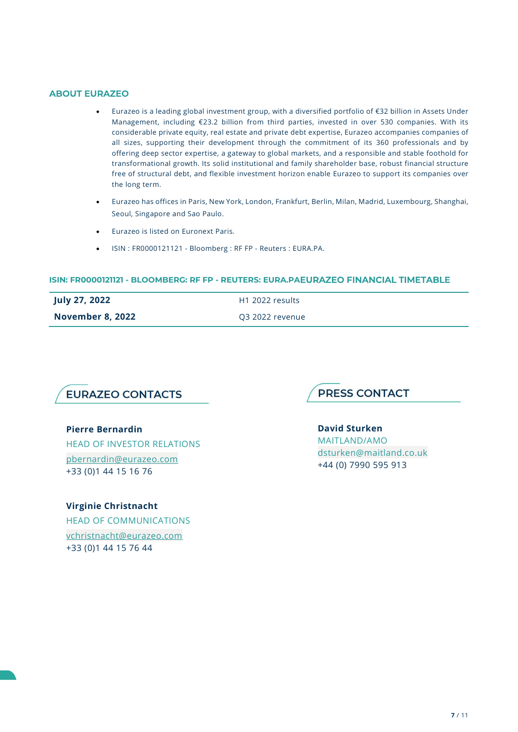#### ABOUT EURAZEO

- Eurazeo is a leading global investment group, with a diversified portfolio of €32 billion in Assets Under Management, including €23.2 billion from third parties, invested in over 530 companies. With its considerable private equity, real estate and private debt expertise, Eurazeo accompanies companies of all sizes, supporting their development through the commitment of its 360 professionals and by offering deep sector expertise, a gateway to global markets, and a responsible and stable foothold for transformational growth. Its solid institutional and family shareholder base, robust financial structure free of structural debt, and flexible investment horizon enable Eurazeo to support its companies over the long term.
- Eurazeo has offices in Paris, New York, London, Frankfurt, Berlin, Milan, Madrid, Luxembourg, Shanghai, Seoul, Singapore and Sao Paulo.
- Eurazeo is listed on Euronext Paris.
- ISIN : FR0000121121 Bloomberg : RF FP Reuters : EURA.PA.

#### ISIN: FR0000121121 - BLOOMBERG: RF FP - REUTERS: EURA.PAEURAZEO FINANCIAL TIMETABLE

| July 27, 2022           | H1 2022 results |
|-------------------------|-----------------|
| <b>November 8, 2022</b> | Q3 2022 revenue |



#### Pierre Bernardin

HEAD OF INVESTOR RELATIONS pbernardin@eurazeo.com +33 (0)1 44 15 16 76

Virginie Christnacht HEAD OF COMMUNICATIONS vchristnacht@eurazeo.com +33 (0)1 44 15 76 44



David Sturken

MAITLAND/AMO dsturken@maitland.co.uk +44 (0) 7990 595 913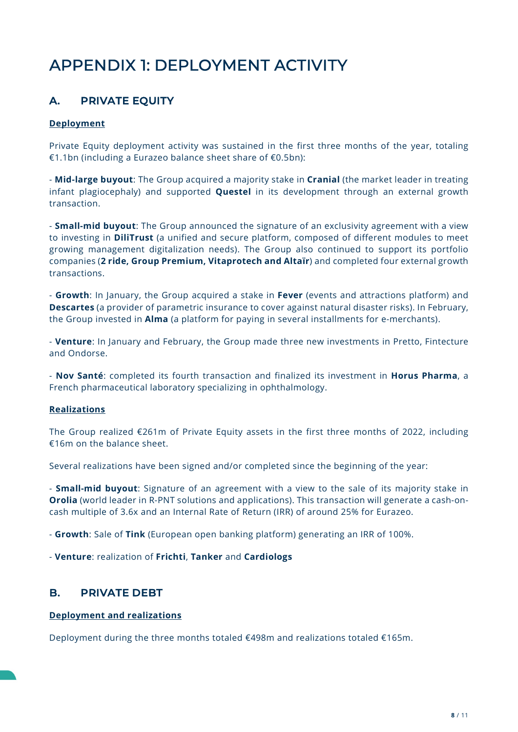# APPENDIX 1: DEPLOYMENT ACTIVITY

## A. PRIVATE EQUITY

### Deployment

Private Equity deployment activity was sustained in the first three months of the year, totaling €1.1bn (including a Eurazeo balance sheet share of €0.5bn):

- Mid-large buyout: The Group acquired a majority stake in Cranial (the market leader in treating infant plagiocephaly) and supported **Questel** in its development through an external growth transaction.

- **Small-mid buyout:** The Group announced the signature of an exclusivity agreement with a view to investing in **DiliTrust** (a unified and secure platform, composed of different modules to meet growing management digitalization needs). The Group also continued to support its portfolio companies (2 ride, Group Premium, Vitaprotech and Altaïr) and completed four external growth transactions.

- Growth: In January, the Group acquired a stake in Fever (events and attractions platform) and Descartes (a provider of parametric insurance to cover against natural disaster risks). In February, the Group invested in Alma (a platform for paying in several installments for e-merchants).

- Venture: In January and February, the Group made three new investments in Pretto, Fintecture and Ondorse.

- Nov Santé: completed its fourth transaction and finalized its investment in Horus Pharma, a French pharmaceutical laboratory specializing in ophthalmology.

### Realizations

The Group realized €261m of Private Equity assets in the first three months of 2022, including €16m on the balance sheet.

Several realizations have been signed and/or completed since the beginning of the year:

- **Small-mid buyout**: Signature of an agreement with a view to the sale of its majority stake in Orolia (world leader in R-PNT solutions and applications). This transaction will generate a cash-oncash multiple of 3.6x and an Internal Rate of Return (IRR) of around 25% for Eurazeo.

- Growth: Sale of Tink (European open banking platform) generating an IRR of 100%.

- Venture: realization of Frichti, Tanker and Cardiologs

## B. PRIVATE DEBT

### Deployment and realizations

Deployment during the three months totaled €498m and realizations totaled €165m.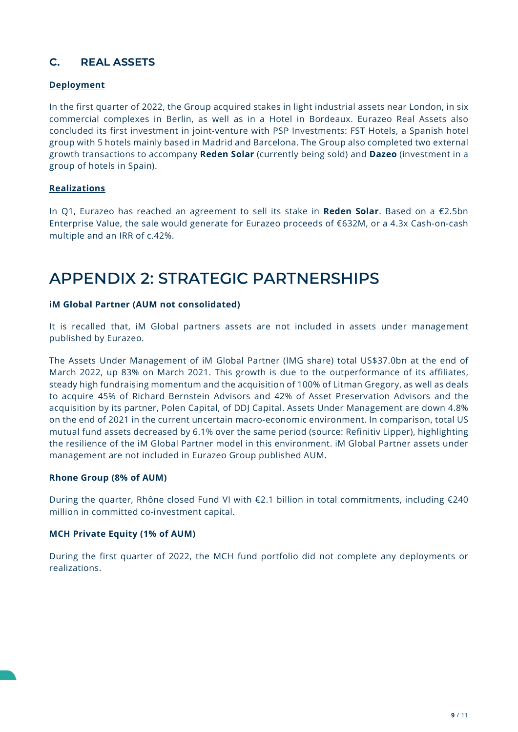## C. REAL ASSETS

### Deployment

In the first quarter of 2022, the Group acquired stakes in light industrial assets near London, in six commercial complexes in Berlin, as well as in a Hotel in Bordeaux. Eurazeo Real Assets also concluded its first investment in joint-venture with PSP Investments: FST Hotels, a Spanish hotel group with 5 hotels mainly based in Madrid and Barcelona. The Group also completed two external growth transactions to accompany Reden Solar (currently being sold) and Dazeo (investment in a group of hotels in Spain).

### Realizations

In Q1, Eurazeo has reached an agreement to sell its stake in Reden Solar. Based on a €2.5bn Enterprise Value, the sale would generate for Eurazeo proceeds of €632M, or a 4.3x Cash-on-cash multiple and an IRR of c.42%.

## APPENDIX 2: STRATEGIC PARTNERSHIPS

### iM Global Partner (AUM not consolidated)

It is recalled that, iM Global partners assets are not included in assets under management published by Eurazeo.

The Assets Under Management of iM Global Partner (IMG share) total US\$37.0bn at the end of March 2022, up 83% on March 2021. This growth is due to the outperformance of its affiliates, steady high fundraising momentum and the acquisition of 100% of Litman Gregory, as well as deals to acquire 45% of Richard Bernstein Advisors and 42% of Asset Preservation Advisors and the acquisition by its partner, Polen Capital, of DDJ Capital. Assets Under Management are down 4.8% on the end of 2021 in the current uncertain macro-economic environment. In comparison, total US mutual fund assets decreased by 6.1% over the same period (source: Refinitiv Lipper), highlighting the resilience of the iM Global Partner model in this environment. iM Global Partner assets under management are not included in Eurazeo Group published AUM.

### Rhone Group (8% of AUM)

During the quarter, Rhône closed Fund VI with €2.1 billion in total commitments, including €240 million in committed co-investment capital.

### MCH Private Equity (1% of AUM)

During the first quarter of 2022, the MCH fund portfolio did not complete any deployments or realizations.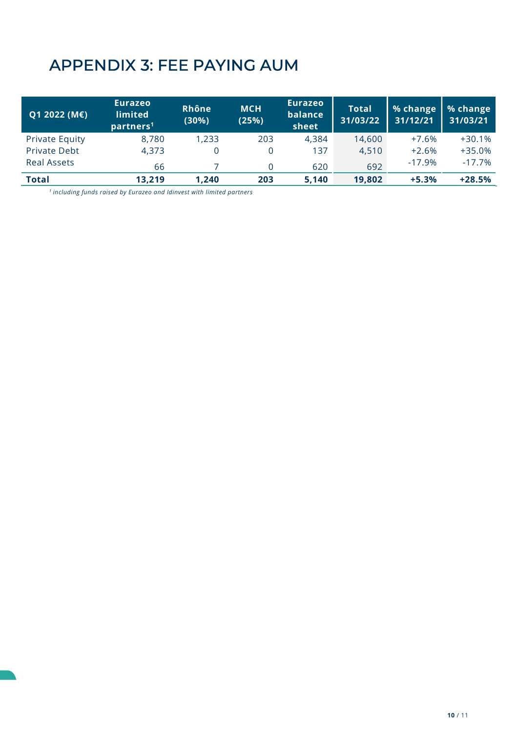# APPENDIX 3: FEE PAYING AUM

| Q1 2022 (M€)          | <b>Eurazeo</b><br><b>limited</b><br>partners <sup>1</sup> | Rhône<br>(30%) | <b>MCH</b><br>(25%) | <b>Eurazeo</b><br>balance<br>sheet | <b>Total</b><br>31/03/22 | % change<br>31/12/21 | % change<br>31/03/21 |
|-----------------------|-----------------------------------------------------------|----------------|---------------------|------------------------------------|--------------------------|----------------------|----------------------|
| <b>Private Equity</b> | 8,780                                                     | 1,233          | 203                 | 4,384                              | 14,600                   | $+7.6%$              | $+30.1%$             |
| <b>Private Debt</b>   | 4,373                                                     |                |                     | 137                                | 4,510                    | $+2.6%$              | $+35.0%$             |
| <b>Real Assets</b>    | 66                                                        |                |                     | 620                                | 692                      | $-17.9%$             | $-17.7%$             |
| <b>Total</b>          | 13,219                                                    | 1.240          | 203                 | 5,140                              | 19,802                   | $+5.3%$              | $+28.5%$             |

 $1$  including funds raised by Eurazeo and Idinvest with limited partners